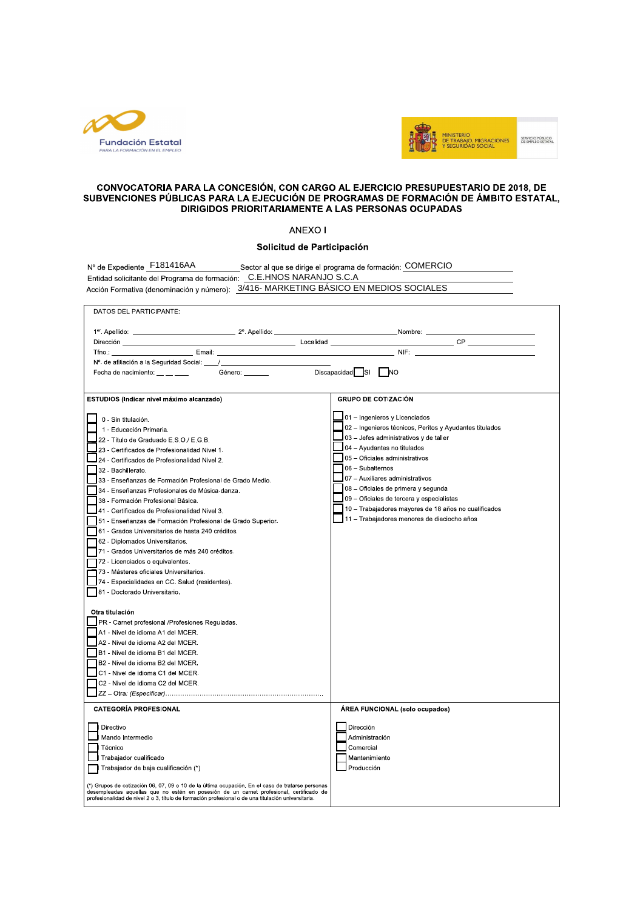



## CONVOCATORIA PARA LA CONCESIÓN, CON CARGO AL EJERCICIO PRESUPUESTARIO DE 2018, DE SUBVENCIONES PÚBLICAS PARA LA EJECUCIÓN DE PROGRAMAS DE FORMACIÓN DE ÁMBITO ESTATAL, DIRIGIDOS PRIORITARIAMENTE A LAS PERSONAS OCUPADAS

ANEXO I

## Solicitud de Participación

| Nº de Expediente F181416AA                                                                                                                                                                                                                                                                        | Sector al que se dirige el programa de formación: COMERCIO |
|---------------------------------------------------------------------------------------------------------------------------------------------------------------------------------------------------------------------------------------------------------------------------------------------------|------------------------------------------------------------|
| Entidad solicitante del Programa de formación: C.E.HNOS NARANJO S.C.A                                                                                                                                                                                                                             |                                                            |
| Acción Formativa (denominación y número): 3/416-MARKETING BÁSICO EN MEDIOS SOCIALES                                                                                                                                                                                                               |                                                            |
| DATOS DEL PARTICIPANTE:                                                                                                                                                                                                                                                                           |                                                            |
|                                                                                                                                                                                                                                                                                                   |                                                            |
|                                                                                                                                                                                                                                                                                                   |                                                            |
| Tfno.:                                                                                                                                                                                                                                                                                            |                                                            |
|                                                                                                                                                                                                                                                                                                   |                                                            |
| Fecha de nacimiento: __ _ _ _ _<br>Género: _______                                                                                                                                                                                                                                                | $Discapacidad$ SI $N$ O                                    |
|                                                                                                                                                                                                                                                                                                   |                                                            |
| ESTUDIOS (Indicar nivel máximo alcanzado)                                                                                                                                                                                                                                                         | <b>GRUPO DE COTIZACIÓN</b>                                 |
| 0 - Sin titulación.                                                                                                                                                                                                                                                                               | 01 - Ingenieros y Licenciados                              |
| 1 - Educación Primaria.                                                                                                                                                                                                                                                                           | 02 - Ingenieros técnicos, Peritos y Ayudantes titulados    |
| 22 - Título de Graduado E.S.O./ E.G.B.                                                                                                                                                                                                                                                            | $103$ – Jefes administrativos y de taller                  |
| 23 - Certificados de Profesionalidad Nivel 1.                                                                                                                                                                                                                                                     | $\sqrt{\phantom{a}}$ 04 - Ayudantes no titulados           |
| 24 - Certificados de Profesionalidad Nivel 2.                                                                                                                                                                                                                                                     | 05 - Oficiales administrativos                             |
| 32 - Bachillerato.                                                                                                                                                                                                                                                                                | 06 - Subalternos                                           |
| 33 - Enseñanzas de Formación Profesional de Grado Medio.                                                                                                                                                                                                                                          | 07 - Auxiliares administrativos                            |
| 34 - Enseñanzas Profesionales de Música-danza.                                                                                                                                                                                                                                                    | 08 - Oficiales de primera y segunda                        |
| 38 - Formación Profesional Básica.                                                                                                                                                                                                                                                                | 09 - Oficiales de tercera y especialistas                  |
| 41 - Certificados de Profesionalidad Nivel 3.                                                                                                                                                                                                                                                     | 10 - Trabajadores mayores de 18 años no cualificados       |
| 51 - Enseñanzas de Formación Profesional de Grado Superior.                                                                                                                                                                                                                                       | 11 - Trabajadores menores de dieciocho años                |
| 61 - Grados Universitarios de hasta 240 créditos.                                                                                                                                                                                                                                                 |                                                            |
| 62 - Diplomados Universitarios.                                                                                                                                                                                                                                                                   |                                                            |
| 71 - Grados Universitarios de más 240 créditos.                                                                                                                                                                                                                                                   |                                                            |
| 72 - Licenciados o equivalentes.                                                                                                                                                                                                                                                                  |                                                            |
| 173 - Másteres oficiales Universitarios.                                                                                                                                                                                                                                                          |                                                            |
| 74 - Especialidades en CC. Salud (residentes).                                                                                                                                                                                                                                                    |                                                            |
| 81 - Doctorado Universitario.                                                                                                                                                                                                                                                                     |                                                            |
| Otra titulación                                                                                                                                                                                                                                                                                   |                                                            |
| PR - Carnet profesional /Profesiones Reguladas.                                                                                                                                                                                                                                                   |                                                            |
| A1 - Nivel de idioma A1 del MCER.                                                                                                                                                                                                                                                                 |                                                            |
| A2 - Nivel de idioma A2 del MCER.                                                                                                                                                                                                                                                                 |                                                            |
| B1 - Nivel de idioma B1 del MCER.                                                                                                                                                                                                                                                                 |                                                            |
| B2 - Nivel de idioma B2 del MCER.                                                                                                                                                                                                                                                                 |                                                            |
| C1 - Nivel de idioma C1 del MCER.                                                                                                                                                                                                                                                                 |                                                            |
| C2 - Nivel de idioma C2 del MCER.                                                                                                                                                                                                                                                                 |                                                            |
|                                                                                                                                                                                                                                                                                                   |                                                            |
| <b>CATEGORÍA PROFESIONAL</b>                                                                                                                                                                                                                                                                      | ÁREA FUNCIONAL (solo ocupados)                             |
| Directivo                                                                                                                                                                                                                                                                                         | Dirección                                                  |
| Mando Intermedio                                                                                                                                                                                                                                                                                  | Administración                                             |
| Técnico                                                                                                                                                                                                                                                                                           | Comercial                                                  |
| Trabajador cualificado                                                                                                                                                                                                                                                                            | Mantenimiento                                              |
| Trabajador de baja cualificación (*)                                                                                                                                                                                                                                                              | Producción                                                 |
| (*) Grupos de cotización 06, 07, 09 o 10 de la última ocupación. En el caso de tratarse personas<br>desempleadas aquellas que no estén en posesión de un carnet profesional, certificado de<br>profesionalidad de nivel 2 o 3, título de formación profesional o de una titulación universitaria. |                                                            |